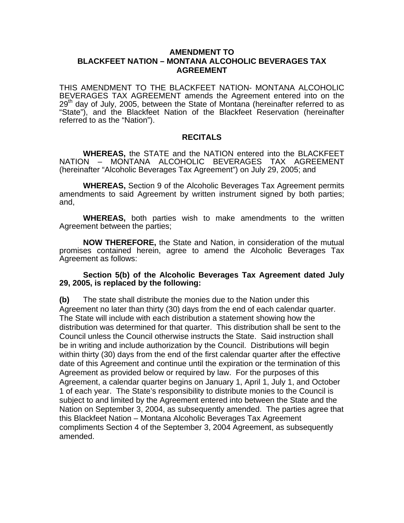## **AMENDMENT TO BLACKFEET NATION – MONTANA ALCOHOLIC BEVERAGES TAX AGREEMENT**

THIS AMENDMENT TO THE BLACKFEET NATION- MONTANA ALCOHOLIC BEVERAGES TAX AGREEMENT amends the Agreement entered into on the  $29<sup>th</sup>$  day of July, 2005, between the State of Montana (hereinafter referred to as "State"), and the Blackfeet Nation of the Blackfeet Reservation (hereinafter referred to as the "Nation").

## **RECITALS**

**WHEREAS,** the STATE and the NATION entered into the BLACKFEET NATION – MONTANA ALCOHOLIC BEVERAGES TAX AGREEMENT (hereinafter "Alcoholic Beverages Tax Agreement") on July 29, 2005; and

**WHEREAS,** Section 9 of the Alcoholic Beverages Tax Agreement permits amendments to said Agreement by written instrument signed by both parties; and,

**WHEREAS,** both parties wish to make amendments to the written Agreement between the parties;

**NOW THEREFORE,** the State and Nation, in consideration of the mutual promises contained herein, agree to amend the Alcoholic Beverages Tax Agreement as follows:

## **Section 5(b) of the Alcoholic Beverages Tax Agreement dated July 29, 2005, is replaced by the following:**

**(b)** The state shall distribute the monies due to the Nation under this Agreement no later than thirty (30) days from the end of each calendar quarter. The State will include with each distribution a statement showing how the distribution was determined for that quarter. This distribution shall be sent to the Council unless the Council otherwise instructs the State. Said instruction shall be in writing and include authorization by the Council. Distributions will begin within thirty (30) days from the end of the first calendar quarter after the effective date of this Agreement and continue until the expiration or the termination of this Agreement as provided below or required by law. For the purposes of this Agreement, a calendar quarter begins on January 1, April 1, July 1, and October 1 of each year. The State's responsibility to distribute monies to the Council is subject to and limited by the Agreement entered into between the State and the Nation on September 3, 2004, as subsequently amended. The parties agree that this Blackfeet Nation – Montana Alcoholic Beverages Tax Agreement compliments Section 4 of the September 3, 2004 Agreement, as subsequently amended.